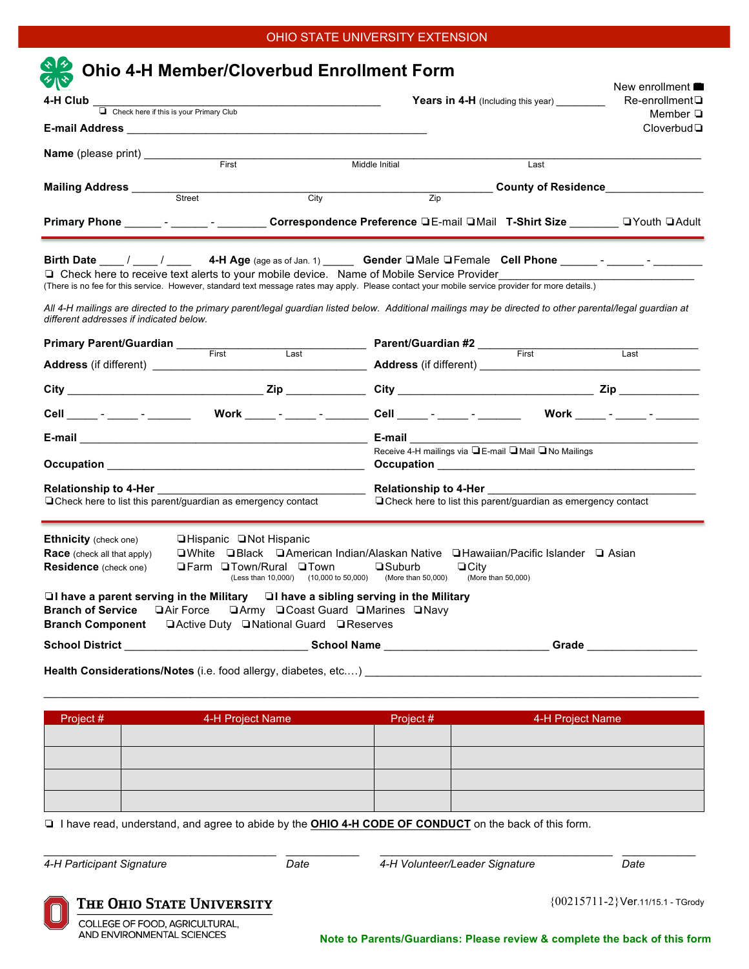# OHIO STATE UNIVERSITY EXTENSION

| <b>Ohio 4-H Member/Cloverbud Enrollment Form</b>                                                                                                                                                                                                                                                                                                                                                                                                                                                                                                   |                                                                                                                                                                                                                        |                                                                              |                                                       | New enrollment $\blacksquare$<br>Re-enrollment <sup>[</sup> |
|----------------------------------------------------------------------------------------------------------------------------------------------------------------------------------------------------------------------------------------------------------------------------------------------------------------------------------------------------------------------------------------------------------------------------------------------------------------------------------------------------------------------------------------------------|------------------------------------------------------------------------------------------------------------------------------------------------------------------------------------------------------------------------|------------------------------------------------------------------------------|-------------------------------------------------------|-------------------------------------------------------------|
| 4-H Club<br>Check here if this is your Primary Club<br>The Check here if this is your Primary Club                                                                                                                                                                                                                                                                                                                                                                                                                                                 |                                                                                                                                                                                                                        | <b>Years in 4-H</b> (Including this year)                                    |                                                       |                                                             |
|                                                                                                                                                                                                                                                                                                                                                                                                                                                                                                                                                    |                                                                                                                                                                                                                        |                                                                              |                                                       | Member $\Box$<br>$C$ loverbud $\Box$                        |
|                                                                                                                                                                                                                                                                                                                                                                                                                                                                                                                                                    | First <b>First</b>                                                                                                                                                                                                     |                                                                              |                                                       |                                                             |
|                                                                                                                                                                                                                                                                                                                                                                                                                                                                                                                                                    |                                                                                                                                                                                                                        | Middle Initial                                                               | Last                                                  |                                                             |
| Mailing Address ____________<br>Street                                                                                                                                                                                                                                                                                                                                                                                                                                                                                                             | City                                                                                                                                                                                                                   | Zip                                                                          |                                                       | <b>County of Residence Example 2016</b>                     |
| Primary Phone ______- - _______ Correspondence Preference □E-mail □Mail T-Shirt Size _______ □Youth □Adult                                                                                                                                                                                                                                                                                                                                                                                                                                         |                                                                                                                                                                                                                        |                                                                              |                                                       |                                                             |
| Birth Date $\mu_1/\mu_2/\mu_3$ 4-H Age (age as of Jan. 1) Gender $\Box$ Male $\Box$ Female Cell Phone $\mu_1/\mu_2$ - $\mu_3/\mu_4$<br>□ Check here to receive text alerts to your mobile device. Name of Mobile Service Provider<br>(There is no fee for this service. However, standard text message rates may apply. Please contact your mobile service provider for more details.)<br>All 4-H mailings are directed to the primary parent/legal guardian listed below. Additional mailings may be directed to other parental/legal guardian at |                                                                                                                                                                                                                        |                                                                              |                                                       |                                                             |
| different addresses if indicated below.                                                                                                                                                                                                                                                                                                                                                                                                                                                                                                            |                                                                                                                                                                                                                        |                                                                              |                                                       |                                                             |
| <b>Primary Parent/Guardian</b><br>First                                                                                                                                                                                                                                                                                                                                                                                                                                                                                                            |                                                                                                                                                                                                                        | <b>Example 2 Last Connect Parent/Guardian #2</b><br>Last Clear Connect Pirst |                                                       | Last                                                        |
|                                                                                                                                                                                                                                                                                                                                                                                                                                                                                                                                                    |                                                                                                                                                                                                                        |                                                                              |                                                       |                                                             |
|                                                                                                                                                                                                                                                                                                                                                                                                                                                                                                                                                    |                                                                                                                                                                                                                        |                                                                              |                                                       |                                                             |
| Cell _____ - _____ - ______  Work _____ - ______ - ______ Cell _____ - ______ - _______ Work _____ - ______ -                                                                                                                                                                                                                                                                                                                                                                                                                                      |                                                                                                                                                                                                                        |                                                                              |                                                       |                                                             |
|                                                                                                                                                                                                                                                                                                                                                                                                                                                                                                                                                    |                                                                                                                                                                                                                        |                                                                              |                                                       |                                                             |
|                                                                                                                                                                                                                                                                                                                                                                                                                                                                                                                                                    |                                                                                                                                                                                                                        |                                                                              | Receive 4-H mailings via ■E-mail ■ Mail ■ No Mailings |                                                             |
| $\Box$ Check here to list this parent/guardian as emergency contact                                                                                                                                                                                                                                                                                                                                                                                                                                                                                |                                                                                                                                                                                                                        | $\Box$ Check here to list this parent/guardian as emergency contact          |                                                       |                                                             |
| <b>Ethnicity</b> (check one)<br><b>Race</b> (check all that apply)<br><b>Residence</b> (check one)<br>$\Box$ I have a parent serving in the Military $\Box$ I have a sibling serving in the Military                                                                                                                                                                                                                                                                                                                                               | $\Box$ Hispanic $\Box$ Not Hispanic<br>□White □Black □American Indian/Alaskan Native □Hawaiian/Pacific Islander □ Asian<br><b>■Farm ■Town/Rural ■Town</b><br>(Less than 10,000/) (10,000 to 50,000) (More than 50,000) | $\square$ Suburb                                                             | $\Box$ City<br>(More than 50,000)                     |                                                             |
| Branch of Service LAir Force LArmy LCoast Guard LMarines LNavy                                                                                                                                                                                                                                                                                                                                                                                                                                                                                     |                                                                                                                                                                                                                        |                                                                              |                                                       |                                                             |
| School District __________________________________School Name ___________________________Grade _______________                                                                                                                                                                                                                                                                                                                                                                                                                                     |                                                                                                                                                                                                                        |                                                                              |                                                       |                                                             |
| Health Considerations/Notes (i.e. food allergy, diabetes, etc) [1996] Health Considerations / Notes (i.e. food allergy, diabetes, etc)                                                                                                                                                                                                                                                                                                                                                                                                             |                                                                                                                                                                                                                        |                                                                              |                                                       |                                                             |
|                                                                                                                                                                                                                                                                                                                                                                                                                                                                                                                                                    |                                                                                                                                                                                                                        |                                                                              |                                                       |                                                             |
| Project #                                                                                                                                                                                                                                                                                                                                                                                                                                                                                                                                          | 4-H Project Name                                                                                                                                                                                                       | Project #                                                                    |                                                       | 4-H Project Name                                            |
|                                                                                                                                                                                                                                                                                                                                                                                                                                                                                                                                                    |                                                                                                                                                                                                                        |                                                                              |                                                       |                                                             |
|                                                                                                                                                                                                                                                                                                                                                                                                                                                                                                                                                    |                                                                                                                                                                                                                        |                                                                              |                                                       |                                                             |
|                                                                                                                                                                                                                                                                                                                                                                                                                                                                                                                                                    |                                                                                                                                                                                                                        |                                                                              |                                                       |                                                             |
|                                                                                                                                                                                                                                                                                                                                                                                                                                                                                                                                                    | I have read, understand, and agree to abide by the OHIO 4-H CODE OF CONDUCT on the back of this form.                                                                                                                  |                                                                              |                                                       |                                                             |
|                                                                                                                                                                                                                                                                                                                                                                                                                                                                                                                                                    |                                                                                                                                                                                                                        |                                                                              |                                                       |                                                             |

COLLEGE OF FOOD, AGRICULTURAL,<br>AND ENVIRONMENTAL SCIENCES

**Note to Parents/Guardians: Please review & complete the back of this form**